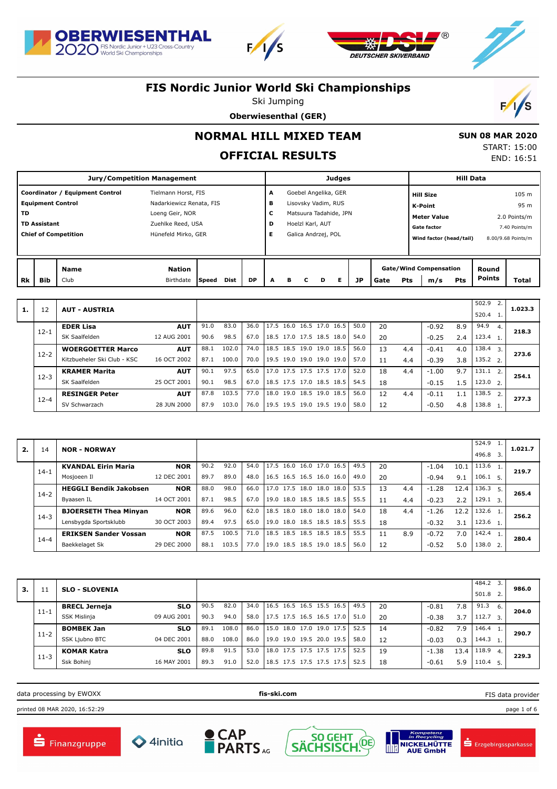





Ski Jumping

**Oberwiesenthal (GER)**



 **SUN 08 MAR 2020** START: 15:00 END: 16:51

# **NORMAL HILL MIXED TEAM**

# **OFFICIAL RESULTS**

|                                                                                                                                                                                                                                                  |            |                     | <b>Jury/Competition Management</b> |       |      |                       |   |                                                                                                                  |  |   | <b>Judges</b> |    |      |                                                                                                    |                                      | <b>Hill Data</b> |                                                                      |              |
|--------------------------------------------------------------------------------------------------------------------------------------------------------------------------------------------------------------------------------------------------|------------|---------------------|------------------------------------|-------|------|-----------------------|---|------------------------------------------------------------------------------------------------------------------|--|---|---------------|----|------|----------------------------------------------------------------------------------------------------|--------------------------------------|------------------|----------------------------------------------------------------------|--------------|
| Coordinator / Equipment Control<br>Tielmann Horst, FIS<br><b>Equipment Control</b><br>Nadarkiewicz Renata, FIS<br><b>TD</b><br>Loeng Geir, NOR<br>Zuehlke Reed, USA<br><b>TD Assistant</b><br><b>Chief of Competition</b><br>Hünefeld Mirko, GER |            |                     |                                    |       |      | A<br>в<br>с<br>D<br>Е |   | Goebel Angelika, GER<br>Lisovsky Vadim, RUS<br>Matsuura Tadahide, JPN<br>Hoelzl Karl, AUT<br>Galica Andrzej, POL |  |   |               |    |      | <b>Hill Size</b><br>K-Point<br><b>Meter Value</b><br><b>Gate factor</b><br>Wind factor (head/tail) |                                      |                  | 105 m<br>95 m<br>2.0 Points/m<br>7.40 Points/m<br>8.00/9.68 Points/m |              |
| <b>Rk</b>                                                                                                                                                                                                                                        | <b>Bib</b> | <b>Name</b><br>Club | <b>Nation</b><br>Birthdate         | Speed | Dist | <b>DP</b>             | A | в                                                                                                                |  | D | Е             | JP | Gate | Pts                                                                                                | <b>Gate/Wind Compensation</b><br>m/s | Pts              | Round<br><b>Points</b>                                               | <b>Total</b> |

|    | 12       | <b>AUT - AUSTRIA</b>        |             |      |       |      |                          |                     |  |      |    |     |         |     | 502.9            |                  | 1.023.3 |
|----|----------|-----------------------------|-------------|------|-------|------|--------------------------|---------------------|--|------|----|-----|---------|-----|------------------|------------------|---------|
| 1. |          |                             |             |      |       |      |                          |                     |  |      |    |     |         |     | 520.4 1.         |                  |         |
|    | $12 - 1$ | <b>EDER Lisa</b>            | <b>AUT</b>  | 91.0 | 83.0  | 36.0 | 17.5                     | 16.0 16.5 17.0 16.5 |  | 50.0 | 20 |     | $-0.92$ | 8.9 | 94.9             | 4.               | 218.3   |
|    |          | SK Saalfelden               | 12 AUG 2001 | 90.6 | 98.5  | 67.0 | 18.5 17.0 17.5 18.5 18.0 |                     |  | 54.0 | 20 |     | $-0.25$ | 2.4 | $123.4 \quad 1$  |                  |         |
|    | $12-2$   | <b>WOERGOETTER Marco</b>    | <b>AUT</b>  | 88.1 | 102.0 | 74.0 | 18.5 18.5 19.0 19.0 18.5 |                     |  | 56.0 | 13 | 4.4 | $-0.41$ | 4.0 | $138.4 \quad 3.$ |                  | 273.6   |
|    |          | Kitzbueheler Ski Club - KSC | 16 OCT 2002 | 87.1 | 100.0 | 70.0 | 19.5                     | 19.0 19.0 19.0 19.0 |  | 57.0 | 11 | 4.4 | $-0.39$ | 3.8 | $135.2$ 2.       |                  |         |
|    | $12 - 3$ | <b>KRAMER Marita</b>        | <b>AUT</b>  | 90.1 | 97.5  | 65.0 | 17.0 17.5 17.5 17.5 17.0 |                     |  | 52.0 | 18 | 4.4 | $-1.00$ | 9.7 | 131.1            | $\overline{2}$ . | 254.1   |
|    |          | SK Saalfelden               | 25 OCT 2001 | 90.1 | 98.5  | 67.0 | 18.5 17.5 17.0 18.5 18.5 |                     |  | 54.5 | 18 |     | $-0.15$ | 1.5 | $123.02$ .       |                  |         |
|    | $12 - 4$ | <b>RESINGER Peter</b>       | <b>AUT</b>  | 87.8 | 103.5 | 77.0 | 18.0 19.0 18.5 19.0 18.5 |                     |  | 56.0 | 12 | 4.4 | $-0.11$ | 1.1 | 138.5            | 2.               | 277.3   |
|    |          | SV Schwarzach               | 28 JUN 2000 | 87.9 | 103.0 | 76.0 | 19.5 19.5 19.0 19.5 19.0 |                     |  | 58.0 | 12 |     | $-0.50$ | 4.8 | 138.8            |                  |         |

| 2. | 14       | <b>NOR - NORWAY</b>           |             |      |       |      |      |                          |      |      |                          |      |    |     |         |      | 524.9<br>496.8     |    | 1.021.7 |
|----|----------|-------------------------------|-------------|------|-------|------|------|--------------------------|------|------|--------------------------|------|----|-----|---------|------|--------------------|----|---------|
|    | $14 - 1$ | <b>KVANDAL Eirin Maria</b>    | <b>NOR</b>  | 90.2 | 92.0  | 54.0 | 17.5 | 16.0                     |      |      | 16.0 17.0 16.5           | 49.5 | 20 |     | $-1.04$ | 10.1 | 113.6              |    | 219.7   |
|    |          | Mosjoeen Il                   | 12 DEC 2001 | 89.7 | 89.0  | 48.0 |      | 16.5 16.5 16.5 16.0 16.0 |      |      |                          | 49.0 | 20 |     | $-0.94$ | 9.1  | $106.1$ 5.         |    |         |
|    |          | <b>HEGGLI Bendik Jakobsen</b> | <b>NOR</b>  | 88.0 | 98.0  | 66.0 | 17.0 | 17.5                     | 18.0 | 18.0 | 18.0                     | 53.5 | 13 | 4.4 | $-1.28$ | 12.4 | 136.3              | 5. | 265.4   |
|    | $14 - 2$ | Byaasen IL                    | 14 OCT 2001 | 87.1 | 98.5  | 67.0 |      |                          |      |      | 19.0 18.0 18.5 18.5 18.5 | 55.5 | 11 | 4.4 | $-0.23$ | 2.2  | 129.1 <sub>3</sub> |    |         |
|    |          | <b>BJOERSETH Thea Minyan</b>  | <b>NOR</b>  | 89.6 | 96.0  | 62.0 | 18.5 | 18.0 18.0 18.0 18.0      |      |      |                          | 54.0 | 18 | 4.4 | $-1.26$ | 12.2 | 132.6              |    | 256.2   |
|    | $14 - 3$ | Lensbygda Sportsklubb         | 30 OCT 2003 | 89.4 | 97.5  | 65.0 | 19.0 | 18.0 18.5 18.5 18.5      |      |      |                          | 55.5 | 18 |     | $-0.32$ | 3.1  | 123.6 <sub>1</sub> |    |         |
|    |          | <b>ERIKSEN Sander Vossan</b>  | <b>NOR</b>  | 87.5 | 100.5 | 71.0 |      | 18.5 18.5 18.5 18.5 18.5 |      |      |                          | 55.5 | 11 | 8.9 | $-0.72$ | 7.0  | 142.4              |    | 280.4   |
|    | $14 - 4$ | Baekkelaget Sk                | 29 DEC 2000 | 88.1 | 103.5 | 77.0 |      | 19.0 18.5 18.5 19.0      |      |      | 18.5                     | 56.0 | 12 |     | $-0.52$ | 5.0  | 138.0              | 2. |         |

| з. | 11       | <b>SLO - SLOVENIA</b> |             |      |       |      |                          |  |      |    |         |      | 484.2<br>501.8 | -2.              | 986.0 |
|----|----------|-----------------------|-------------|------|-------|------|--------------------------|--|------|----|---------|------|----------------|------------------|-------|
|    |          | <b>BRECL Jerneja</b>  | <b>SLO</b>  | 90.5 | 82.0  | 34.0 | 16.5 16.5 16.5 15.5 16.5 |  | 49.5 | 20 | $-0.81$ | 7.8  | 91.3           | - 6.             | 204.0 |
|    | $11 - 1$ | SSK Mislinja          | 09 AUG 2001 | 90.3 | 94.0  | 58.0 | 17.5 17.5 16.5 16.5 17.0 |  | 51.0 | 20 | $-0.38$ | 3.7  | 112.7          | 3.               |       |
|    | $11 - 2$ | <b>BOMBEK Jan</b>     | <b>SLO</b>  | 89.1 | 108.0 | 86.0 | 15.0 18.0 17.0 19.0 17.5 |  | 52.5 | 14 | $-0.82$ | 7.9  | 146.4          |                  | 290.7 |
|    |          | SSK Ljubno BTC        | 04 DEC 2001 | 88.0 | 108.0 | 86.0 | 19.0 19.0 19.5 20.0 19.5 |  | 58.0 | 12 | $-0.03$ | 0.3  | 144.3          |                  |       |
|    | $11 - 3$ | <b>KOMAR Katra</b>    | <b>SLO</b>  | 89.8 | 91.5  | 53.0 | 18.0 17.5 17.5 17.5 17.5 |  | 52.5 | 19 | $-1.38$ | 13.4 | 118.9          | $\overline{4}$ . | 229.3 |
|    |          | Ssk Bohinj            | 16 MAY 2001 | 89.3 | 91.0  | 52.0 | 18.5 17.5 17.5 17.5 17.5 |  | 52.5 | 18 | $-0.61$ | 5.9  | $110.4$ 5.     |                  |       |

data processing by EWOXX **fis-ski.com**

FIS data provider

printed 08 MAR 2020, 16:52:29 page 1 of 6









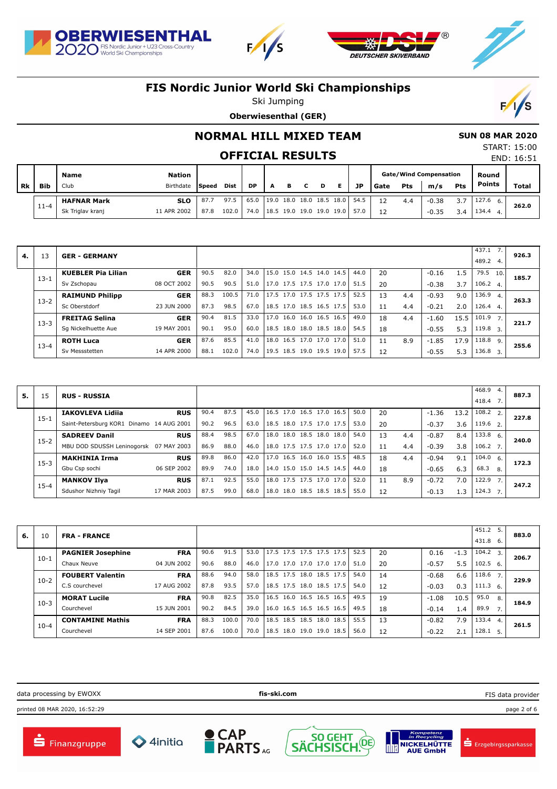





Ski Jumping

**Oberwiesenthal (GER)**



 **SUN 08 MAR 2020** START: 15:00 END: 16:51

#### **NORMAL HILL MIXED TEAM**

#### **OFFICIAL RESULTS**

|      |          | <b>Name</b>        | <b>Nation</b> |              |             |           |                          |  |  |      |      |     | <b>Gate/Wind Compensation</b> |            | Round         |              |
|------|----------|--------------------|---------------|--------------|-------------|-----------|--------------------------|--|--|------|------|-----|-------------------------------|------------|---------------|--------------|
| l Rk | Bib      | Club               | Birthdate     | <b>Speed</b> | <b>Dist</b> | <b>DP</b> | A                        |  |  | JP   | Gate | Pts | m/s                           | <b>Pts</b> | <b>Points</b> | <b>Total</b> |
|      |          | <b>HAFNAR Mark</b> | <b>SLO</b>    | 87.7         | 97.5        | 65.0      | 19.0 18.0 18.0 18.5 18.0 |  |  | 54.5 | 12   | 4.4 | $-0.38$                       | 3.7        | 127.6<br>6.   | 262.0        |
|      | $11 - 4$ | Sk Triglav kranj   | 11 APR 2002   | 87.8         | 102.0       | 74.0      | 18.5 19.0 19.0 19.0 19.0 |  |  | 57.0 | 12   |     | $-0.35$                       | 34         | 134.4<br>4.   |              |

| -4. | 13       | <b>GER - GERMANY</b>      |             |      |       |      |                          |                     |      |      |    |     |         |      | 437.1            |                  | 926.3 |
|-----|----------|---------------------------|-------------|------|-------|------|--------------------------|---------------------|------|------|----|-----|---------|------|------------------|------------------|-------|
|     |          |                           |             |      |       |      |                          |                     |      |      |    |     |         |      | 489.2 4.         |                  |       |
|     | $13 - 1$ | <b>KUEBLER Pia Lilian</b> | <b>GER</b>  | 90.5 | 82.0  | 34.0 | 15.0                     | 15.0 14.5 14.0 14.5 |      | 44.0 | 20 |     | $-0.16$ | 1.5  | 79.5             | 10.              | 185.7 |
|     |          | Sv Zschopau               | 08 OCT 2002 | 90.5 | 90.5  | 51.0 | 17.0                     | 17.5 17.5 17.0      | 17.0 | 51.5 | 20 |     | $-0.38$ | 3.7  | $106.2 \quad 4.$ |                  |       |
|     | $13-2$   | <b>RAIMUND Philipp</b>    | <b>GER</b>  | 88.3 | 100.5 | 71.0 | 17.5                     | 17.0 17.5 17.5 17.5 |      | 52.5 | 13 | 4.4 | $-0.93$ | 9.0  | 136.9            | $\overline{4}$ . | 263.3 |
|     |          | Sc Oberstdorf             | 23 JUN 2000 | 87.3 | 98.5  | 67.0 | 18.5 17.0 18.5 16.5 17.5 |                     |      | 53.0 | 11 | 4.4 | $-0.21$ | 2.0  | $126.4 \quad 4.$ |                  |       |
|     | $13-3$   | <b>FREITAG Selina</b>     | <b>GER</b>  | 90.4 | 81.5  | 33.0 | 17.0                     | 16.0 16.0 16.5 16.5 |      | 49.0 | 18 | 4.4 | $-1.60$ | 15.5 | 101.9            | 7.               | 221.7 |
|     |          | Sq Nickelhuette Aue       | 19 MAY 2001 | 90.1 | 95.0  | 60.0 | 18.5                     | 18.0 18.0 18.5 18.0 |      | 54.5 | 18 |     | $-0.55$ | 5.3  | $119.8$ 3.       |                  |       |
|     | $13 - 4$ | <b>ROTH Luca</b>          | <b>GER</b>  | 87.6 | 85.5  | 41.0 | 18.0                     | 16.5 17.0 17.0      | 17.0 | 51.0 | 11 | 8.9 | $-1.85$ | 17.9 | 118.8            | 9.               | 255.6 |
|     |          | Sv Messstetten            | 14 APR 2000 | 88.1 | 102.0 | 74.0 | 19.5 18.5 19.0 19.5 19.0 |                     |      | 57.5 | 12 |     | $-0.55$ | 5.3  | 136.8 3.         |                  |       |

|    |          |                                          |      |      |      |                          |                     |  |      |    |     |         |      | 468.9           | -4.            | 887.3 |
|----|----------|------------------------------------------|------|------|------|--------------------------|---------------------|--|------|----|-----|---------|------|-----------------|----------------|-------|
| 5. | 15       | <b>RUS - RUSSIA</b>                      |      |      |      |                          |                     |  |      |    |     |         |      | 418.4           | 7.             |       |
|    | $15 - 1$ | <b>RUS</b><br><b>IAKOVLEVA Lidija</b>    | 90.4 | 87.5 | 45.0 | 16.5                     | 17.0 16.5 17.0 16.5 |  | 50.0 | 20 |     | $-1.36$ | 13.2 | $108.2$ 2.      |                | 227.8 |
|    |          | Saint-Petersburg KOR1 Dinamo 14 AUG 2001 | 90.2 | 96.5 | 63.0 | 18.5 18.0 17.5 17.0 17.5 |                     |  | 53.0 | 20 |     | $-0.37$ | 3.6  | $119.6$ 2.      |                |       |
|    | $15 - 2$ | <b>RUS</b><br><b>SADREEV Danil</b>       | 88.4 | 98.5 | 67.0 | 18.0 18.0 18.5 18.0 18.0 |                     |  | 54.0 | 13 | 4.4 | $-0.87$ | 8.4  | $133.8\quad 6.$ |                | 240.0 |
|    |          | MBU DOD SDUSSH Leninogorsk 07 MAY 2003   | 86.9 | 88.0 | 46.0 | 18.0 17.5 17.5 17.0 17.0 |                     |  | 52.0 | 11 | 4.4 | $-0.39$ | 3.8  | $106.2$ 7.      |                |       |
|    | $15-3$   | <b>RUS</b><br><b>MAKHINIA Irma</b>       | 89.8 | 86.0 | 42.0 | 17.0 16.5 16.0 16.0 15.5 |                     |  | 48.5 | 18 | 4.4 | $-0.94$ | 9.1  | $104.0\quad 6.$ |                | 172.3 |
|    |          | 06 SEP 2002<br>Gbu Csp sochi             | 89.9 | 74.0 | 18.0 | 14.0 15.0 15.0 14.5 14.5 |                     |  | 44.0 | 18 |     | $-0.65$ | 6.3  | 68.3            | 8.             |       |
|    | $15 - 4$ | <b>RUS</b><br><b>MANKOV Ilva</b>         | 87.1 | 92.5 | 55.0 | 18.0                     | 17.5 17.5 17.0 17.0 |  | 52.0 | 11 | 8.9 | $-0.72$ | 7.0  | 122.9           | 7 <sub>1</sub> | 247.2 |
|    |          | Sdushor Nizhniy Tagil<br>17 MAR 2003     | 87.5 | 99.0 | 68.0 | 18.0 18.0 18.5 18.5 18.5 |                     |  | 55.0 | 12 |     | $-0.13$ | 1.3  | $124.3$ 7.      |                |       |

|    |          |                          |             |      |       |      |  |                          |                          |      |    |         |               | 451.2              |    |       |
|----|----------|--------------------------|-------------|------|-------|------|--|--------------------------|--------------------------|------|----|---------|---------------|--------------------|----|-------|
| 6. | 10       | <b>FRA - FRANCE</b>      |             |      |       |      |  |                          |                          |      |    |         |               | 431.8 6.           |    | 883.0 |
|    |          | <b>PAGNIER Josephine</b> | <b>FRA</b>  | 90.6 | 91.5  | 53.0 |  |                          | 17.5 17.5 17.5 17.5 17.5 | 52.5 | 20 | 0.16    | $-1.3$        | $104.2$ 3.         |    | 206.7 |
|    | $10-1$   | Chaux Neuve              | 04 JUN 2002 | 90.6 | 88.0  | 46.0 |  | 17.0 17.0 17.0 17.0 17.0 |                          | 51.0 | 20 | $-0.57$ | 5.5           | $102.5$ 6.         |    |       |
|    |          | <b>FOUBERT Valentin</b>  | <b>FRA</b>  | 88.6 | 94.0  | 58.0 |  | 18.5 17.5 18.0 18.5 17.5 |                          | 54.0 | 14 | $-0.68$ | 6.6           | $118.6 \quad 7.$   |    | 229.9 |
|    | $10-2$   | C.S courchevel           | 17 AUG 2002 | 87.8 | 93.5  | 57.0 |  | 18.5 17.5 18.0 18.5 17.5 |                          | 54.0 | 12 | $-0.03$ | 0.3           | $111.3$ 6.         |    |       |
|    |          | <b>MORAT Lucile</b>      | <b>FRA</b>  | 90.8 | 82.5  | 35.0 |  | 16.5 16.0 16.5 16.5 16.5 |                          | 49.5 | 19 | $-1.08$ | 10.5          | 95.0               | 8. | 184.9 |
|    | $10-3$   | Courchevel               | 15 JUN 2001 | 90.2 | 84.5  | 39.0 |  | 16.0 16.5 16.5 16.5 16.5 |                          | 49.5 | 18 | $-0.14$ | $1.4^{\circ}$ | 89.9               |    |       |
|    |          | <b>CONTAMINE Mathis</b>  | <b>FRA</b>  | 88.3 | 100.0 | 70.0 |  | 18.5 18.5 18.5 18.0      | 18.5                     | 55.5 | 13 | $-0.82$ | 7.9           | 133.4              | 4. | 261.5 |
|    | $10 - 4$ | Courchevel               | 14 SEP 2001 | 87.6 | 100.0 | 70.0 |  | 18.5 18.0 19.0 19.0 18.5 |                          | 56.0 | 12 | $-0.22$ | 2.1           | 128.1 <sub>5</sub> |    |       |

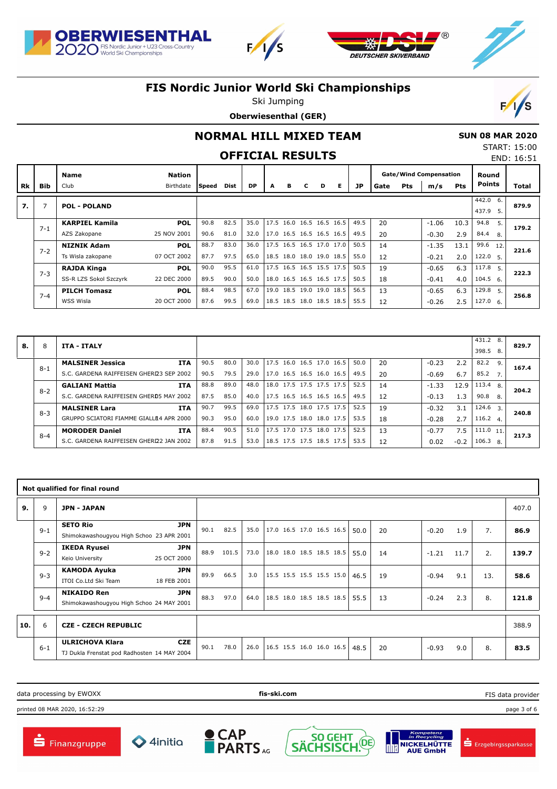





Ski Jumping

**Oberwiesenthal (GER)**



 **SUN 08 MAR 2020** START: 15:00

# **NORMAL HILL MIXED TEAM**

#### **OFFICIAL RESULTS**

|           |                |                        |             |       |      | <b>OFFICIAL RESULTS</b> |                          |                          |   |   |                          |      |      |            |                               |      |               | END: 16:51 |
|-----------|----------------|------------------------|-------------|-------|------|-------------------------|--------------------------|--------------------------|---|---|--------------------------|------|------|------------|-------------------------------|------|---------------|------------|
|           |                | <b>Name</b>            | Nation      |       |      |                         |                          |                          |   |   |                          |      |      |            | <b>Gate/Wind Compensation</b> |      | Round         |            |
| <b>Rk</b> | <b>Bib</b>     | Club                   | Birthdate   | Speed | Dist | <b>DP</b>               | A                        | в                        | c | D | Е                        | JP   | Gate | <b>Pts</b> | m/s                           | Pts  | <b>Points</b> | Total      |
| 7.        | $\overline{7}$ | <b>POL - POLAND</b>    |             |       |      |                         |                          |                          |   |   |                          |      |      |            |                               |      | 442.0<br>-6.  | 879.9      |
|           |                |                        |             |       |      |                         |                          |                          |   |   |                          |      |      |            |                               |      | .5.<br>437.9  |            |
|           | $7 - 1$        | <b>KARPIEL Kamila</b>  | <b>POL</b>  | 90.8  | 82.5 | 35.0                    |                          |                          |   |   | 17.5 16.0 16.5 16.5 16.5 | 49.5 | 20   |            | $-1.06$                       | 10.3 | 94.8<br>5.    | 179.2      |
|           |                | AZS Zakopane           | 25 NOV 2001 | 90.6  | 81.0 | 32.0                    | 17.0 16.5 16.5 16.5 16.5 |                          |   |   |                          | 49.5 | 20   |            | $-0.30$                       | 2.9  | 84.4<br>8.    |            |
|           | $7 - 2$        | <b>NIZNIK Adam</b>     | <b>POL</b>  | 88.7  | 83.0 | 36.0                    | 17.5 16.5 16.5 17.0 17.0 |                          |   |   |                          | 50.5 | 14   |            | $-1.35$                       | 13.1 | 99.6 12.      | 221.6      |
|           |                | Ts Wisla zakopane      | 07 OCT 2002 | 87.7  | 97.5 | 65.0                    | 18.5 18.0 18.0 19.0 18.5 |                          |   |   |                          | 55.0 | 12   |            | $-0.21$                       | 2.0  | $122.0$ 5.    |            |
|           | $7 - 3$        | <b>RAJDA Kinga</b>     | <b>POL</b>  | 90.0  | 95.5 | 61.0                    | 17.5 16.5 16.5 15.5 17.5 |                          |   |   |                          | 50.5 | 19   |            | $-0.65$                       | 6.3  | 117.8<br>-5.  | 222.3      |
|           |                | SS-R LZS Sokol Szczyrk | 22 DEC 2000 | 89.5  | 90.0 | 50.0                    | 18.0 16.5 16.5 16.5 17.5 |                          |   |   |                          | 50.5 | 18   |            | $-0.41$                       | 4.0  | $104.5$ 6.    |            |
|           | $7 - 4$        | <b>PILCH Tomasz</b>    | <b>POL</b>  | 88.4  | 98.5 | 67.0                    |                          | 19.0 18.5 19.0 19.0 18.5 |   |   |                          | 56.5 | 13   |            | $-0.65$                       | 6.3  | 129.8<br>-5.  | 256.8      |
|           |                | WSS Wisla              | 20 OCT 2000 | 87.6  | 99.5 | 69.0                    | 18.5 18.5 18.0 18.5 18.5 |                          |   |   |                          | 55.5 | 12   |            | $-0.26$                       | 2.5  | $127.0$ 6.    |            |

| 8. | 8       | <b>ITA - ITALY</b>                      |      |      |      |                          |                |      |    |         |        | 431.2      | 8.               | 829.7 |
|----|---------|-----------------------------------------|------|------|------|--------------------------|----------------|------|----|---------|--------|------------|------------------|-------|
|    |         |                                         |      |      |      |                          |                |      |    |         |        | 398.5      | 8.               |       |
|    | $8 - 1$ | <b>ITA</b><br><b>MALSINER Jessica</b>   | 90.5 | 80.0 | 30.0 | 17.5<br>16.0             | 16.5 17.0 16.5 | 50.0 | 20 | $-0.23$ | 2.2    | 82.2       | 9.               | 167.4 |
|    |         | S.C. GARDENA RAIFFEISEN GHERD3 SEP 2002 | 90.5 | 79.5 | 29.0 | 17.0 16.5 16.5 16.0 16.5 |                | 49.5 | 20 | $-0.69$ | 6.7    | 85.2       | 7.               |       |
|    | $8 - 2$ | <b>ITA</b><br><b>GALIANI Mattia</b>     | 88.8 | 89.0 | 48.0 | 18.0 17.5 17.5 17.5 17.5 |                | 52.5 | 14 | $-1.33$ | 12.9   | 113.4      | 8.               | 204.2 |
|    |         | S.C. GARDENA RAIFFEISEN GHERD5 MAY 2002 | 87.5 | 85.0 | 40.0 | 17.5 16.5 16.5 16.5 16.5 |                | 49.5 | 12 | $-0.13$ | 1.3    | 90.8       | 8.               |       |
|    | $8 - 3$ | <b>ITA</b><br><b>MALSINER Lara</b>      | 90.7 | 99.5 | 69.0 | 17.5 17.5                | 18.0 17.5 17.5 | 52.5 | 19 | $-0.32$ | 3.1    | $124.6$ 3. |                  | 240.8 |
|    |         | GRUPPO SCIATORI FIAMME GIALLE4 APR 2000 | 90.3 | 95.0 | 60.0 | 19.0 17.5 18.0 18.0 17.5 |                | 53.5 | 18 | $-0.28$ | 2.7    | 116.2      | $\overline{4}$ . |       |
|    | $8 - 4$ | <b>ITA</b><br><b>MORODER Daniel</b>     | 88.4 | 90.5 | 51.0 | 17.5 17.0 17.5 18.0 17.5 |                | 52.5 | 13 | $-0.77$ | 7.5    | 111.0 11.  |                  | 217.3 |
|    |         | S.C. GARDENA RAIFFEISEN GHERD2 JAN 2002 | 87.8 | 91.5 | 53.0 | 18.5 17.5 17.5 18.5 17.5 |                | 53.5 | 12 | 0.02    | $-0.2$ | $106.3$ 8. |                  |       |

|     |         | Not qualified for final round                                                       |      |       |      |                          |  |      |    |         |      |     |       |
|-----|---------|-------------------------------------------------------------------------------------|------|-------|------|--------------------------|--|------|----|---------|------|-----|-------|
| 9.  | 9       | <b>JPN - JAPAN</b>                                                                  |      |       |      |                          |  |      |    |         |      |     | 407.0 |
|     | $9 - 1$ | <b>SETO Rio</b><br><b>JPN</b><br>Shimokawashougyou High Schoo 23 APR 2001           | 90.1 | 82.5  | 35.0 | 17.0 16.5 17.0 16.5 16.5 |  | 50.0 | 20 | $-0.20$ | 1.9  | 7.  | 86.9  |
|     | $9 - 2$ | <b>IKEDA Ryusei</b><br><b>JPN</b><br>Keio University<br>25 OCT 2000                 | 88.9 | 101.5 | 73.0 | 18.0 18.0 18.5 18.5 18.5 |  | 55.0 | 14 | $-1.21$ | 11.7 | 2.  | 139.7 |
|     | $9 - 3$ | <b>JPN</b><br>KAMODA Ayuka<br>18 FEB 2001<br>ITOI Co.Ltd Ski Team                   | 89.9 | 66.5  | 3.0  | 15.5 15.5 15.5 15.5 15.0 |  | 46.5 | 19 | $-0.94$ | 9.1  | 13. | 58.6  |
|     | $9 - 4$ | <b>NIKAIDO Ren</b><br><b>JPN</b><br>Shimokawashougyou High Schoo 24 MAY 2001        | 88.3 | 97.0  | 64.0 | 18.5 18.0 18.5 18.5 18.5 |  | 55.5 | 13 | $-0.24$ | 2.3  | 8.  | 121.8 |
| 10. | 6       | <b>CZE - CZECH REPUBLIC</b>                                                         |      |       |      |                          |  |      |    |         |      |     | 388.9 |
|     | $6 - 1$ | <b>ULRICHOVA Klara</b><br><b>CZE</b><br>TJ Dukla Frenstat pod Radhosten 14 MAY 2004 | 90.1 | 78.0  | 26.0 | 16.5 15.5 16.0 16.0 16.5 |  | 48.5 | 20 | $-0.93$ | 9.0  | 8.  | 83.5  |

data processing by EWOXX **fis-ski.com** printed 08 MAR 2020, 16:52:29 page 3 of 6













Erzgebirgssparkass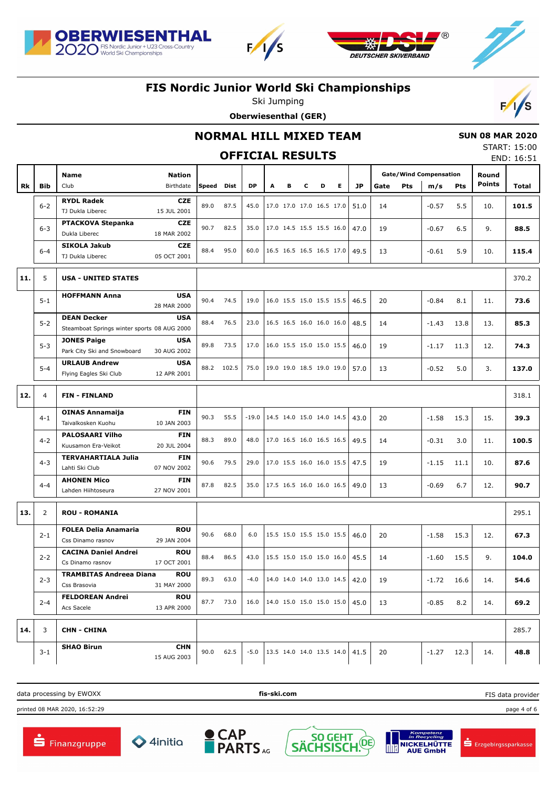





Ski Jumping

**Oberwiesenthal (GER)**



#### **NORMAL HILL MIXED TEAM**

#### **SUN 08 MAR 2020** START: 15:00

END: 16:51

**OFFICIAL RESULTS**

|     |                | <b>Nation</b><br>Name                                                           |            |       |         |                          |   |   |                          |   |      |      |            | <b>Gate/Wind Compensation</b> |            | Round         |       |
|-----|----------------|---------------------------------------------------------------------------------|------------|-------|---------|--------------------------|---|---|--------------------------|---|------|------|------------|-------------------------------|------------|---------------|-------|
| Rk  | Bib            | Club<br>Birthdate                                                               | Speed Dist |       | DP      | А                        | в | с | D                        | Е | JP   | Gate | <b>Pts</b> | m/s                           | <b>Pts</b> | <b>Points</b> | Total |
|     | $6 - 2$        | <b>RYDL Radek</b><br><b>CZE</b><br>15 JUL 2001<br>TJ Dukla Liberec              | 89.0       | 87.5  | 45.0    |                          |   |   | 17.0 17.0 17.0 16.5 17.0 |   | 51.0 | 14   |            | $-0.57$                       | 5.5        | 10.           | 101.5 |
|     | $6 - 3$        | <b>PTACKOVA Stepanka</b><br><b>CZE</b><br>Dukla Liberec<br>18 MAR 2002          | 90.7       | 82.5  | 35.0    |                          |   |   | 17.0 14.5 15.5 15.5 16.0 |   | 47.0 | 19   |            | $-0.67$                       | 6.5        | 9.            | 88.5  |
|     | $6 - 4$        | <b>SIKOLA Jakub</b><br><b>CZE</b><br>05 OCT 2001<br>TJ Dukla Liberec            | 88.4       | 95.0  | 60.0    |                          |   |   | 16.5 16.5 16.5 16.5 17.0 |   | 49.5 | 13   |            | $-0.61$                       | 5.9        | 10.           | 115.4 |
| 11. | 5              | <b>USA - UNITED STATES</b>                                                      |            |       |         |                          |   |   |                          |   |      |      |            |                               |            |               | 370.2 |
|     | $5 - 1$        | <b>HOFFMANN Anna</b><br><b>USA</b><br>28 MAR 2000                               | 90.4       | 74.5  | 19.0    |                          |   |   | 16.0 15.5 15.0 15.5 15.5 |   | 46.5 | 20   |            | $-0.84$                       | 8.1        | 11.           | 73.6  |
|     | $5 - 2$        | <b>DEAN Decker</b><br><b>USA</b><br>Steamboat Springs winter sports 08 AUG 2000 | 88.4       | 76.5  | 23.0    | 16.5 16.5 16.0 16.0 16.0 |   |   |                          |   | 48.5 | 14   |            | $-1.43$                       | 13.8       | 13.           | 85.3  |
|     | $5 - 3$        | <b>JONES Paige</b><br>USA<br>Park City Ski and Snowboard<br>30 AUG 2002         | 89.8       | 73.5  | 17.0    | 16.0 15.5 15.0 15.0 15.5 |   |   |                          |   | 46.0 | 19   |            | $-1.17$                       | 11.3       | 12.           | 74.3  |
|     | $5 - 4$        | <b>URLAUB Andrew</b><br><b>USA</b><br>Flying Eagles Ski Club<br>12 APR 2001     | 88.2       | 102.5 | 75.0    | 19.0 19.0 18.5 19.0 19.0 |   |   |                          |   | 57.0 | 13   |            | $-0.52$                       | 5.0        | 3.            | 137.0 |
| 12. | $\overline{4}$ | <b>FIN - FINLAND</b>                                                            |            |       |         |                          |   |   |                          |   |      |      |            |                               |            |               | 318.1 |
|     | $4 - 1$        | <b>OINAS Annamaija</b><br><b>FIN</b><br>Taivalkosken Kuohu<br>10 JAN 2003       | 90.3       | 55.5  | $-19.0$ |                          |   |   | 14.5 14.0 15.0 14.0 14.5 |   | 43.0 | 20   |            | $-1.58$                       | 15.3       | 15.           | 39.3  |
|     | $4 - 2$        | <b>PALOSAARI Vilho</b><br><b>FIN</b><br>Kuusamon Era-Veikot<br>20 JUL 2004      | 88.3       | 89.0  | 48.0    |                          |   |   | 17.0 16.5 16.0 16.5 16.5 |   | 49.5 | 14   |            | $-0.31$                       | 3.0        | 11.           | 100.5 |
|     | $4 - 3$        | <b>TERVAHARTIALA Julia</b><br><b>FIN</b><br>Lahti Ski Club<br>07 NOV 2002       | 90.6       | 79.5  | 29.0    |                          |   |   | 17.0 15.5 16.0 16.0 15.5 |   | 47.5 | 19   |            | $-1.15$                       | 11.1       | 10.           | 87.6  |
|     | $4 - 4$        | <b>AHONEN Mico</b><br><b>FIN</b><br>Lahden Hiihtoseura<br>27 NOV 2001           | 87.8       | 82.5  | 35.0    |                          |   |   | 17.5 16.5 16.0 16.0 16.5 |   | 49.0 | 13   |            | $-0.69$                       | 6.7        | 12.           | 90.7  |
| 13. | 2              | <b>ROU - ROMANIA</b>                                                            |            |       |         |                          |   |   |                          |   |      |      |            |                               |            |               | 295.1 |
|     | $2 - 1$        | <b>FOLEA Delia Anamaria</b><br><b>ROU</b><br>Css Dinamo rasnov<br>29 JAN 2004   | 90.6       | 68.0  | 6.0     |                          |   |   | 15.5 15.0 15.5 15.0 15.5 |   | 46.0 | 20   |            | $-1.58$                       | 15.3       | 12.           | 67.3  |
|     | $2 - 2$        | <b>CACINA Daniel Andrei</b><br><b>ROU</b><br>Cs Dinamo rasnov<br>17 OCT 2001    | 88.4       | 86.5  | 43.0    |                          |   |   | 15.5 15.0 15.0 15.0 16.0 |   | 45.5 | 14   |            | $-1.60$                       | 15.5       | 9.            | 104.0 |
|     | $2 - 3$        | <b>TRAMBITAS Andreea Diana</b><br><b>ROU</b><br>31 MAY 2000<br>Css Brasovia     | 89.3       | 63.0  | $-4.0$  |                          |   |   | 14.0 14.0 14.0 13.0 14.5 |   | 42.0 | 19   |            | $-1.72$                       | 16.6       | 14.           | 54.6  |
|     | $2 - 4$        | <b>ROU</b><br><b>FELDOREAN Andrei</b><br>13 APR 2000<br>Acs Sacele              | 87.7       | 73.0  | 16.0    |                          |   |   | 14.0 15.0 15.0 15.0 15.0 |   | 45.0 | 13   |            | $-0.85$                       | 8.2        | 14.           | 69.2  |
| 14. | 3              | <b>CHN - CHINA</b>                                                              |            |       |         |                          |   |   |                          |   |      |      |            |                               |            |               | 285.7 |
|     | $3 - 1$        | <b>SHAO Birun</b><br><b>CHN</b><br>15 AUG 2003                                  | 90.0       | 62.5  | $-5.0$  | 13.5 14.0 14.0 13.5 14.0 |   |   |                          |   | 41.5 | 20   |            | -1.27                         | 12.3       | 14.           | 48.8  |

data processing by EWOXX **fis-ski.com**

printed 08 MAR 2020, 16:52:29 page 4 of 6









FIS data provider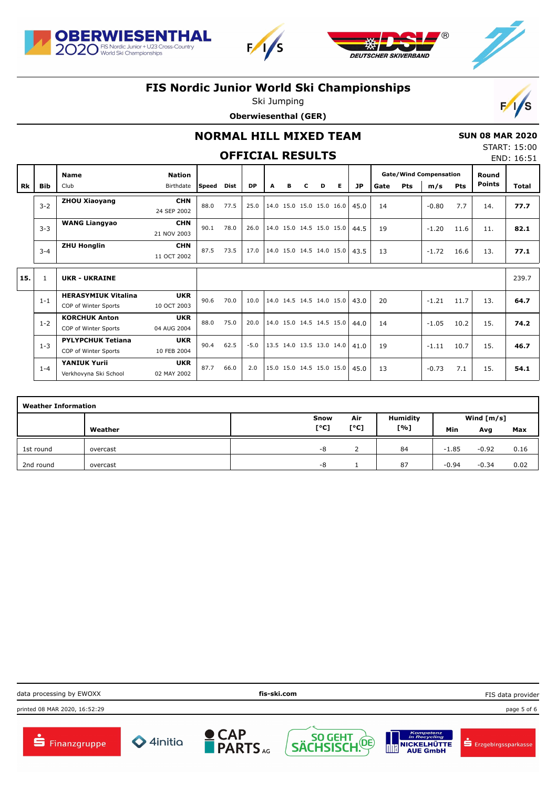





Ski Jumping

**Oberwiesenthal (GER)**



 **SUN 08 MAR 2020** START: 15:00 END: 16:51

# **NORMAL HILL MIXED TEAM**

# **OFFICIAL RESULTS**

| Rk  | <b>Bib</b> | <b>Name</b><br>Club                                | <b>Nation</b><br>Birthdate | Speed | <b>Dist</b> | <b>DP</b> | A                        | в                          | C | D | Е | JP   | Gate | <b>Gate/Wind Compensation</b><br><b>Pts</b><br>m/s<br>Pts |         |      | Round<br><b>Points</b> | <b>Total</b> |
|-----|------------|----------------------------------------------------|----------------------------|-------|-------------|-----------|--------------------------|----------------------------|---|---|---|------|------|-----------------------------------------------------------|---------|------|------------------------|--------------|
|     |            |                                                    |                            |       |             |           |                          |                            |   |   |   |      |      |                                                           |         |      |                        |              |
|     | $3 - 2$    | <b>ZHOU Xiaoyang</b>                               | <b>CHN</b><br>24 SEP 2002  | 88.0  | 77.5        | 25.0      |                          | 14.0 15.0 15.0 15.0 16.0   |   |   |   | 45.0 | 14   |                                                           | $-0.80$ | 7.7  | 14.                    | 77.7         |
|     | $3 - 3$    | <b>WANG Liangyao</b>                               | <b>CHN</b><br>21 NOV 2003  | 90.1  | 78.0        | 26.0      |                          | $14.0$ 15.0 14.5 15.0 15.0 |   |   |   | 44.5 | 19   |                                                           | $-1.20$ | 11.6 | 11.                    | 82.1         |
|     | $3 - 4$    | <b>ZHU Honglin</b>                                 | <b>CHN</b><br>11 OCT 2002  | 87.5  | 73.5        | 17.0      |                          | 14.0 15.0 14.5 14.0 15.0   |   |   |   | 43.5 | 13   |                                                           | $-1.72$ | 16.6 | 13.                    | 77.1         |
| 15. |            | <b>UKR - UKRAINE</b>                               |                            |       |             |           |                          |                            |   |   |   |      |      |                                                           |         |      |                        | 239.7        |
|     | $1 - 1$    | <b>HERASYMIUK Vitalina</b><br>COP of Winter Sports | <b>UKR</b><br>10 OCT 2003  | 90.6  | 70.0        | 10.0      |                          | 14.0 14.5 14.5 14.0 15.0   |   |   |   | 43.0 | 20   |                                                           | $-1.21$ | 11.7 | 13.                    | 64.7         |
|     | $1 - 2$    | <b>KORCHUK Anton</b><br>COP of Winter Sports       | <b>UKR</b><br>04 AUG 2004  | 88.0  | 75.0        | 20.0      |                          | 14.0 15.0 14.5 14.5 15.0   |   |   |   | 44.0 | 14   |                                                           | $-1.05$ | 10.2 | 15.                    | 74.2         |
|     | $1 - 3$    | <b>PYLYPCHUK Tetiana</b><br>COP of Winter Sports   | <b>UKR</b><br>10 FEB 2004  | 90.4  | 62.5        | $-5.0$    | 13.5 14.0 13.5 13.0 14.0 |                            |   |   |   | 41.0 | 19   |                                                           | $-1.11$ | 10.7 | 15.                    | 46.7         |
|     | $1 - 4$    | <b>YANIUK Yurii</b><br>Verkhovyna Ski School       | <b>UKR</b><br>02 MAY 2002  | 87.7  | 66.0        | 2.0       | 15.0 15.0 14.5 15.0 15.0 |                            |   |   |   | 45.0 | 13   |                                                           | $-0.73$ | 7.1  | 15.                    | 54.1         |

| <b>Weather Information</b> |          |      |      |                 |              |         |      |  |  |  |  |  |
|----------------------------|----------|------|------|-----------------|--------------|---------|------|--|--|--|--|--|
|                            |          | Snow | Air  | <b>Humidity</b> | Wind $[m/s]$ |         |      |  |  |  |  |  |
|                            | Weather  | [°C] | [°C] | [%]             | Min          | Avg     | Max  |  |  |  |  |  |
| 1st round                  | overcast | -8   |      | 84              | $-1.85$      | $-0.92$ | 0.16 |  |  |  |  |  |
| 2nd round                  | overcast | -8   |      | 87              | $-0.94$      | $-0.34$ | 0.02 |  |  |  |  |  |

| data processing by EWOXX      |                | fis-ski.com                      |                                      | FIS data provider                               |                     |  |  |  |
|-------------------------------|----------------|----------------------------------|--------------------------------------|-------------------------------------------------|---------------------|--|--|--|
| printed 08 MAR 2020, 16:52:29 |                |                                  |                                      |                                                 | page 5 of 6         |  |  |  |
| Finanzgruppe                  | <b>4initia</b> | $\bullet$ CAP<br><b>PARTS</b> AG | <b>SO GEHT</b><br><b>HEIELL</b> (DE) | <b>Kompetenz</b><br>in Recycling<br>NICKELHÜTTE | Erzgebirgssparkasse |  |  |  |